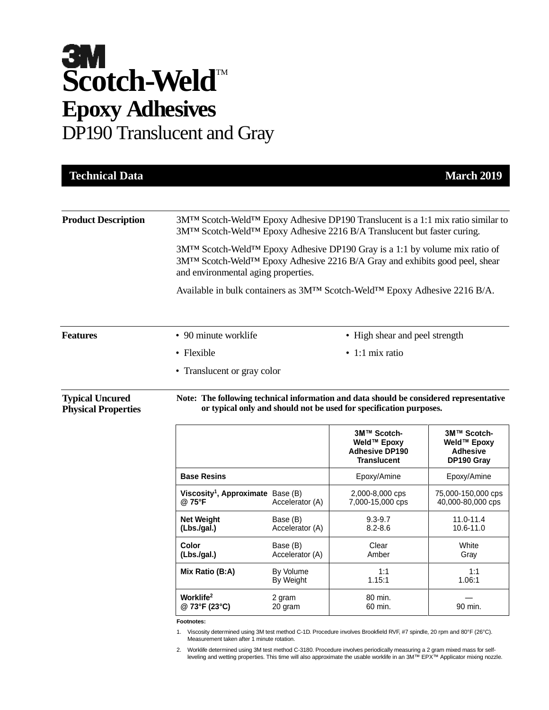# **Scotch-Weld**<sup>™</sup> **Epoxy Adhesives** DP190 Translucent and Gray

| <b>Technical Data</b>                                |                                                                                                                                                                                                                          |                             |                                                                                                                                                              | <b>March 2019</b>                                           |
|------------------------------------------------------|--------------------------------------------------------------------------------------------------------------------------------------------------------------------------------------------------------------------------|-----------------------------|--------------------------------------------------------------------------------------------------------------------------------------------------------------|-------------------------------------------------------------|
| <b>Product Description</b>                           | 3M <sup>™</sup> Scotch-Weld <sup>™</sup> Epoxy Adhesive DP190 Translucent is a 1:1 mix ratio similar to<br>3M™ Scotch-Weld™ Epoxy Adhesive 2216 B/A Translucent but faster curing.                                       |                             |                                                                                                                                                              |                                                             |
|                                                      | 3M <sup>™</sup> Scotch-Weld <sup>™</sup> Epoxy Adhesive DP190 Gray is a 1:1 by volume mix ratio of<br>3M™ Scotch-Weld™ Epoxy Adhesive 2216 B/A Gray and exhibits good peel, shear<br>and environmental aging properties. |                             |                                                                                                                                                              |                                                             |
|                                                      |                                                                                                                                                                                                                          |                             | Available in bulk containers as 3M™ Scotch-Weld™ Epoxy Adhesive 2216 B/A.                                                                                    |                                                             |
| Features                                             | • 90 minute worklife                                                                                                                                                                                                     |                             | • High shear and peel strength                                                                                                                               |                                                             |
|                                                      | • Flexible                                                                                                                                                                                                               | $\cdot$ 1:1 mix ratio       |                                                                                                                                                              |                                                             |
|                                                      | • Translucent or gray color                                                                                                                                                                                              |                             |                                                                                                                                                              |                                                             |
| <b>Typical Uncured</b><br><b>Physical Properties</b> |                                                                                                                                                                                                                          |                             | Note: The following technical information and data should be considered representative<br>or typical only and should not be used for specification purposes. |                                                             |
|                                                      |                                                                                                                                                                                                                          |                             | 3M™ Scotch-<br>Weld™ Epoxy<br><b>Adhesive DP190</b><br><b>Translucent</b>                                                                                    | 3M™ Scotch-<br>Weld™ Epoxy<br><b>Adhesive</b><br>DP190 Gray |
|                                                      | <b>Base Resins</b>                                                                                                                                                                                                       |                             | Epoxy/Amine                                                                                                                                                  | Epoxy/Amine                                                 |
|                                                      | Viscosity <sup>1</sup> , Approximate Base (B)<br>@75°F                                                                                                                                                                   | Accelerator (A)             | 2,000-8,000 cps<br>7,000-15,000 cps                                                                                                                          | 75,000-150,000 cps<br>40,000-80,000 cps                     |
|                                                      | <b>Net Weight</b><br>(Lbs./gal.)                                                                                                                                                                                         | Base (B)<br>Accelerator (A) | $9.3 - 9.7$<br>$8.2 - 8.6$                                                                                                                                   | 11.0-11.4<br>10.6-11.0                                      |
|                                                      | Color<br>(Lbs./gal.)                                                                                                                                                                                                     | Base (B)<br>Accelerator (A) | Clear<br>Amber                                                                                                                                               | White<br>Gray                                               |
|                                                      | Mix Ratio (B:A)                                                                                                                                                                                                          | By Volume<br>By Weight      | 1:1<br>1.15:1                                                                                                                                                | 1:1<br>1.06:1                                               |
|                                                      | Worklife <sup>2</sup><br>@73°F (23°C)                                                                                                                                                                                    | 2 gram<br>20 gram           | 80 min.<br>60 min.                                                                                                                                           | 90 min.                                                     |

**Footnotes:**

1. Viscosity determined using 3M test method C-1D. Procedure involves Brookfield RVF, #7 spindle, 20 rpm and 80°F (26°C). Measurement taken after 1 minute rotation.

-Worklife determined using 3M test method C-3180. Procedure involves periodically measuring a 2 gram mixed mass for self-<br>Ieveling and wetting properties. This time will also approximate the usable worklife in an 3M™ EPX™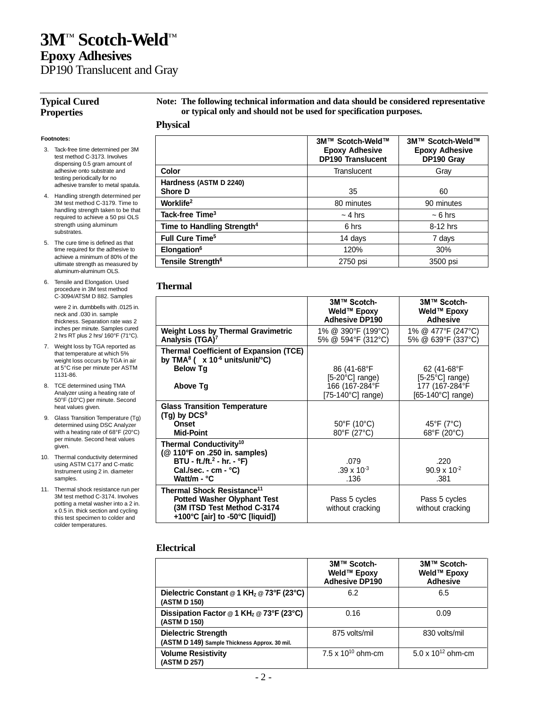DP190 Translucent and Gray

#### **Typical Cured Properties**

**Note: The following technical information and data should be considered representative or typical only and should not be used for specification purposes.**

**Footnotes:**

- 3. Tack-free time determined per 3M test method C-3173. Involves dispensing 0.5 gram amount of adhesive onto substrate and testing periodically for no adhesive transfer to metal spatula.
- 4. Handling strength determined per 3M test method C-3179. Time to handling strength taken to be that required to achieve a 50 psi OLS strength using aluminum substrates.
- 5. The cure time is defined as that time required for the adhesive to achieve a minimum of 80% of the ultimate strength as measured by aluminum-aluminum OLS.
- 6. Tensile and Elongation. Used procedure in 3M test method C-3094/ATSM D 882. Samples

were 2 in. dumbbells with .0125 in. neck and .030 in. sample thickness. Separation rate was 2 inches per minute. Samples cured 2 hrs RT plus 2 hrs/ 160°F (71°C).

- 7. Weight loss by TGA reported as that temperature at which 5% weight loss occurs by TGA in air at 5°C rise per minute per ASTM 1131-86.
- 8. TCE determined using TMA Analyzer using a heating rate of 50°F (10°C) per minute. Second heat values given.
- 9. Glass Transition Temperature (Tg) determined using DSC Analyzer with a heating rate of 68°F (20°C) per minute. Second heat values given.
- 10. Thermal conductivity determined using ASTM C177 and C-matic Instrument using 2 in. diameter samples.
- 11. Thermal shock resistance run per 3M test method C-3174. Involves potting a metal washer into a 2 in. x 0.5 in. thick section and cycling this test specimen to colder and colder temperatures.

|                                        | 3M™ Scotch-Weld™<br><b>Epoxy Adhesive</b><br><b>DP190 Translucent</b> | 3M™ Scotch-Weld™<br><b>Epoxy Adhesive</b><br>DP190 Gray |
|----------------------------------------|-----------------------------------------------------------------------|---------------------------------------------------------|
| <b>Color</b>                           | Translucent                                                           | Gray                                                    |
| Hardness (ASTM D 2240)<br>Shore D      | 35                                                                    | 60                                                      |
| Worklife <sup>2</sup>                  | 80 minutes                                                            | 90 minutes                                              |
| Tack-free Time <sup>3</sup>            | $\sim$ 4 hrs                                                          | $~5$ 6 hrs                                              |
| Time to Handling Strength <sup>4</sup> | 6 hrs                                                                 | 8-12 hrs                                                |
| <b>Full Cure Time<sup>5</sup></b>      | 14 days                                                               | 7 days                                                  |
| Elongation <sup>6</sup>                | 120%                                                                  | 30%                                                     |
| Tensile Strength <sup>6</sup>          | 2750 psi                                                              | 3500 psi                                                |

#### **Thermal**

**Physical**

|                                                                                                                                                      | 3M™ Scotch-<br>Weld™ Epoxy<br><b>Adhesive DP190</b>                                         | 3M™ Scotch-<br>Weld™ Epoxy<br><b>Adhesive</b>                             |
|------------------------------------------------------------------------------------------------------------------------------------------------------|---------------------------------------------------------------------------------------------|---------------------------------------------------------------------------|
| <b>Weight Loss by Thermal Gravimetric</b><br>Analysis (TGA) <sup>7</sup>                                                                             | 1% @ 390°F (199°C)<br>5% @ 594°F (312°C)                                                    | 1% @ 477°F (247°C)<br>5% @ 639°F (337°C)                                  |
| <b>Thermal Coefficient of Expansion (TCE)</b><br>by TMA <sup>8</sup> ( $x$ 10 <sup>-6</sup> units/unit/°C)                                           |                                                                                             |                                                                           |
| <b>Below Tg</b><br>Above Tg                                                                                                                          | 86 (41-68°F<br>[5-20 $^{\circ}$ C] range)<br>166 (167-284°F<br>[ $75-140^{\circ}$ C] range) | 62 (41-68°F<br>[5-25 $°C$ ] range)<br>177 (167-284°F<br>[65-140°C] range) |
| <b>Glass Transition Temperature</b><br>$(Tg)$ by DCS <sup>9</sup>                                                                                    |                                                                                             |                                                                           |
| <b>Onset</b><br><b>Mid-Point</b>                                                                                                                     | $50^{\circ}$ F (10 $^{\circ}$ C)<br>80°F (27°C)                                             | 45°F (7°C)<br>68°F (20°C)                                                 |
| Thermal Conductivity <sup>10</sup><br>(@ 110°F on .250 in. samples)<br>BTU - ft./ft. <sup>2</sup> - hr. - °F)<br>Cal./sec. - cm - °C)<br>Watt/m - °C | .079<br>$.39 \times 10^{-3}$<br>.136                                                        | .220<br>$90.9 \times 10^{-2}$<br>.381                                     |
| <b>Thermal Shock Resistance<sup>11</sup></b><br><b>Potted Washer Olyphant Test</b><br>(3M ITSD Test Method C-3174<br>+100°C [air] to -50°C [liquid]) | Pass 5 cycles<br>without cracking                                                           | Pass 5 cycles<br>without cracking                                         |

#### **Electrical**

|                                                                              | 3M™ Scotch-<br>Weld™ Epoxy<br><b>Adhesive DP190</b> | 3M™ Scotch-<br>Weld™ Epoxy<br><b>Adhesive</b> |
|------------------------------------------------------------------------------|-----------------------------------------------------|-----------------------------------------------|
| Dielectric Constant @ 1 KH <sub>z</sub> @ 73°F (23°C)<br><b>(ASTM D 150)</b> | 6.2                                                 | 6.5                                           |
| Dissipation Factor @ 1 KHz @ 73°F (23°C)<br>(ASTM D 150)                     | 0.16                                                | 0.09                                          |
| <b>Dielectric Strength</b><br>(ASTM D 149) Sample Thickness Approx. 30 mil.  | 875 volts/mil                                       | 830 volts/mil                                 |
| <b>Volume Resistivity</b><br>(ASTM D 257)                                    | $7.5 \times 10^{10}$ ohm-cm                         | $5.0 \times 10^{12}$ ohm-cm                   |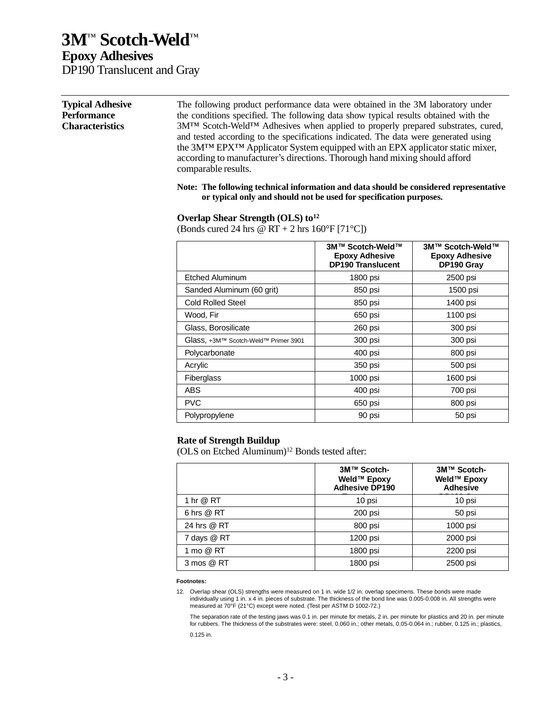DP190 Translucent and Gray

| <b>Typical Adhesive</b> | The following product performance data were obtained in the 3M laboratory under                        |
|-------------------------|--------------------------------------------------------------------------------------------------------|
| <b>Performance</b>      | the conditions specified. The following data show typical results obtained with the                    |
| <b>Characteristics</b>  | 3M™ Scotch-Weld™ Adhesives when applied to properly prepared substrates, cured,                        |
|                         | and tested according to the specifications indicated. The data were generated using                    |
|                         | the 3M <sup>TM</sup> EPX <sup>TM</sup> Applicator System equipped with an EPX applicator static mixer, |
|                         | according to manufacturer's directions. Thorough hand mixing should afford                             |

**Note: The following technical information and data should be considered representative or typical only and should not be used for specification purposes.**

|                                      | 3M™ Scotch-Weld™<br><b>Epoxy Adhesive</b><br><b>DP190 Translucent</b> | 3M™ Scotch-Weld™<br><b>Epoxy Adhesive</b><br>DP190 Gray |
|--------------------------------------|-----------------------------------------------------------------------|---------------------------------------------------------|
| Etched Aluminum                      | 1800 psi                                                              | 2500 psi                                                |
| Sanded Aluminum (60 grit)            | 850 psi                                                               | 1500 psi                                                |
| <b>Cold Rolled Steel</b>             | 850 psi                                                               | 1400 psi                                                |
| Wood, Fir                            | 650 psi                                                               | 1100 psi                                                |
| Glass, Borosilicate                  | 260 psi                                                               | 300 psi                                                 |
| Glass, +3M™ Scotch-Weld™ Primer 3901 | 300 psi                                                               | 300 psi                                                 |
| Polycarbonate                        | 400 psi                                                               | 800 psi                                                 |
| Acrylic                              | 350 psi                                                               | 500 psi                                                 |
| Fiberglass                           | 1000 psi                                                              | 1600 psi                                                |
| <b>ABS</b>                           | 400 psi                                                               | 700 psi                                                 |
| <b>PVC</b>                           | 650 psi                                                               | 800 psi                                                 |
| Polypropylene                        | 90 psi                                                                | 50 psi                                                  |

#### **Overlap Shear Strength (OLS) to 12**

comparable results.

(Bonds cured 24 hrs  $\omega$  RT + 2 hrs 160°F [71°C])

#### **Rate of Strength Buildup**

(OLS on Etched Aluminum)<sup>12</sup> Bonds tested after:

|             | 3M™ Scotch-<br>Weld™ Epoxy<br><b>Adhesive DP190</b> | 3M™ Scotch-<br>Weld™ Epoxy<br><b>Adhesive</b> |
|-------------|-----------------------------------------------------|-----------------------------------------------|
| 1 hr @ RT   | 10 psi                                              | 10 psi                                        |
| 6 hrs @ RT  | 200 psi                                             | 50 psi                                        |
| 24 hrs @ RT | 800 psi                                             | 1000 psi                                      |
| 7 days @ RT | 1200 psi                                            | 2000 psi                                      |
| 1 mo @ RT   | 1800 psi                                            | 2200 psi                                      |
| 3 mos @ RT  | 1800 psi                                            | 2500 psi                                      |

#### **Footnotes:**

12. Overlap shear (OLS) strengths were measured on 1 in. wide 1/2 in. overlap specimens. These bonds were made individually using 1 in. x 4 in. pieces of substrate. The thickness of the bond line was 0.005-0.008 in. All strengths were measured at 70°F (21°C) except were noted. (Test per ASTM D 1002-72.)

The separation rate of the testing jaws was 0.1 in. per minute for metals, 2 in. per minute for plastics and 20 in. per minute for rubbers. The thickness of the substrates were: steel, 0.060 in.; other metals, 0.05-0.064 in.; rubber, 0.125 in.; plastics, 0.125 in.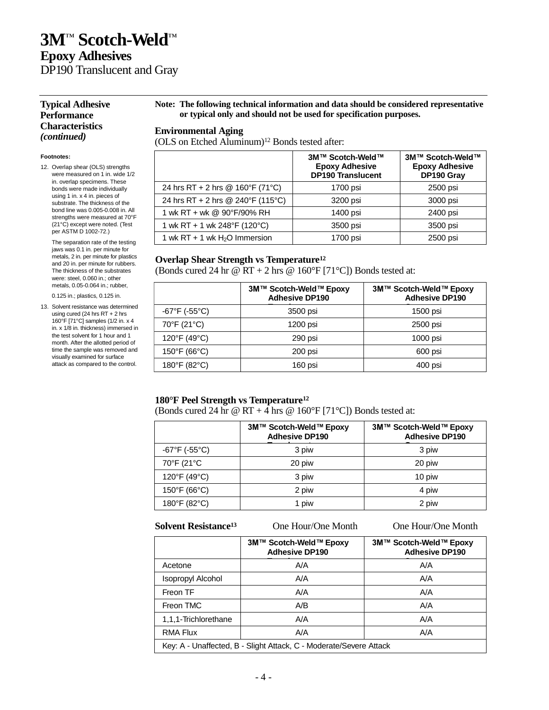DP190 Translucent and Gray

#### **Typical Adhesive Performance Characteristics**  *(continued)*

#### **Footnotes:**

12. Overlap shear (OLS) strengths were measured on 1 in. wide 1/2 in. overlap specimens. These bonds were made individually using 1 in. x 4 in. pieces of substrate. The thickness of the bond line was 0.005-0.008 in. All strengths were measured at 70°F (21°C) except were noted. (Test per ASTM D 1002-72.)

The separation rate of the testing jaws was 0.1 in. per minute for metals, 2 in. per minute for plastics and 20 in. per minute for rubbers. The thickness of the substrates were: steel, 0.060 in.; other metals, 0.05-0.064 in.; rubber,

0.125 in.; plastics, 0.125 in.

13. Solvent resistance was determined using cured (24 hrs RT + 2 hrs 160°F [71°C] samples (1/2 in. x 4 in. x 1/8 in. thickness) immersed in the test solvent for 1 hour and 1 month. After the allotted period of time the sample was removed and visually examined for surface attack as compared to the control.

#### **Note: The following technical information and data should be considered representative or typical only and should not be used for specification purposes.**

#### **Environmental Aging**

(OLS on Etched Aluminum)<sup>12</sup> Bonds tested after:

|                                   | 3M™ Scotch-Weld™<br><b>Epoxy Adhesive</b><br><b>DP190 Translucent</b> | 3M™ Scotch-Weld™<br><b>Epoxy Adhesive</b><br>DP190 Gray |
|-----------------------------------|-----------------------------------------------------------------------|---------------------------------------------------------|
| 24 hrs RT + 2 hrs @ 160°F (71°C)  | 1700 psi                                                              | 2500 psi                                                |
| 24 hrs RT + 2 hrs @ 240°F (115°C) | 3200 psi                                                              | 3000 psi                                                |
| 1 wk RT + wk @ 90°F/90% RH        | 1400 psi                                                              | 2400 psi                                                |
| 1 wk RT + 1 wk 248°F (120°C)      | 3500 psi                                                              | 3500 psi                                                |
| 1 wk RT + 1 wk $H_2O$ Immersion   | 1700 psi                                                              | 2500 psi                                                |

#### **Overlap Shear Strength vs Temperature 12**

(Bonds cured 24 hr  $\omega$  RT + 2 hrs  $\omega$  160°F [71°C]) Bonds tested at:

|                                   | 3M™ Scotch-Weld™ Epoxy<br><b>Adhesive DP190</b> | 3M™ Scotch-Weld™ Epoxy<br><b>Adhesive DP190</b> |
|-----------------------------------|-------------------------------------------------|-------------------------------------------------|
| $-67^{\circ}F( -55^{\circ}C)$     | 3500 psi                                        | 1500 psi                                        |
| 70°F (21°C)                       | 1200 psi                                        | 2500 psi                                        |
| 120°F (49°C)                      | 290 psi                                         | 1000 psi                                        |
| $150^{\circ}$ F (66 $^{\circ}$ C) | 200 psi                                         | 600 psi                                         |
| 180°F (82°C)                      | 160 psi                                         | 400 psi                                         |

#### **180°F Peel Strength vs Temperature 12**

(Bonds cured 24 hr  $\omega$  RT + 4 hrs  $\omega$  160°F [71°C]) Bonds tested at:

|               | 3M™ Scotch-Weld™ Epoxy<br><b>Adhesive DP190</b> | 3M™ Scotch-Weld™ Epoxy<br><b>Adhesive DP190</b> |
|---------------|-------------------------------------------------|-------------------------------------------------|
| -67°F (-55°C) | 3 piw                                           | 3 piw                                           |
| 70°F (21°C    | 20 piw                                          | 20 piw                                          |
| 120°F (49°C)  | 3 piw                                           | 10 piw                                          |
| 150°F (66°C)  | 2 piw                                           | 4 piw                                           |
| 180°F (82°C)  | 1 piw                                           | 2 piw                                           |

#### **Solvent Resistance<sup>13</sup>** One Hour/One Month One Hour/One Month

|                                                                    | 3M™ Scotch-Weld™ Epoxy<br><b>Adhesive DP190</b> | 3M™ Scotch-Weld™ Epoxy<br><b>Adhesive DP190</b> |
|--------------------------------------------------------------------|-------------------------------------------------|-------------------------------------------------|
| Acetone                                                            | A/A                                             | A/A                                             |
| <b>Isopropyl Alcohol</b>                                           | A/A                                             | A/A                                             |
| Freon TF                                                           | A/A                                             | A/A                                             |
| Freon TMC                                                          | A/B                                             | A/A                                             |
| 1,1,1-Trichlorethane                                               | A/A                                             | A/A                                             |
| <b>RMA Flux</b>                                                    | A/A                                             | A/A                                             |
| Key: A - Unaffected, B - Slight Attack, C - Moderate/Severe Attack |                                                 |                                                 |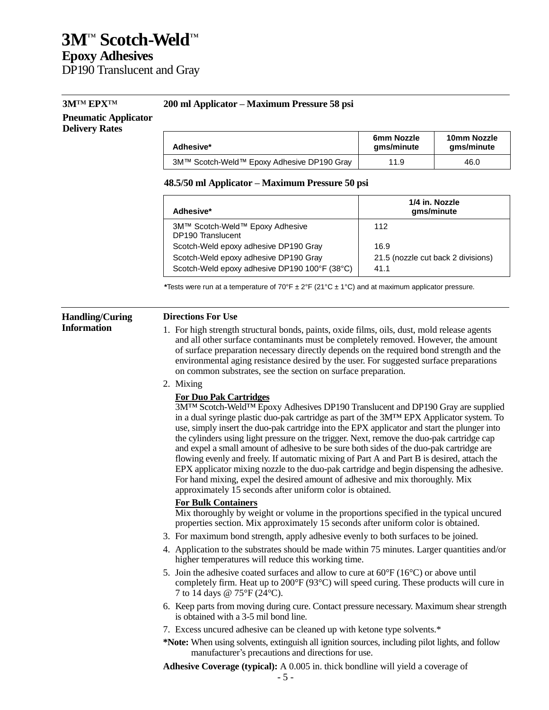DP190 Translucent and Gray

#### **3M**™ **EPX**™

#### **200 ml Applicator – Maximum Pressure 58 psi**

**Pneumatic Applicator Delivery Rates**

| Adhesive*                                  | 6mm Nozzle<br>qms/minute | 10mm Nozzle<br>qms/minute |
|--------------------------------------------|--------------------------|---------------------------|
| 3M™ Scotch-Weld™ Epoxy Adhesive DP190 Gray | 11.9                     | 46.0                      |

#### **48.5/50 ml Applicator – Maximum Pressure 50 psi**

| Adhesive*                                                                              | 1/4 in. Nozzle<br>gms/minute               |
|----------------------------------------------------------------------------------------|--------------------------------------------|
| 3M™ Scotch-Weld™ Epoxy Adhesive<br>DP190 Translucent                                   | 112                                        |
| Scotch-Weld epoxy adhesive DP190 Gray                                                  | 16.9                                       |
| Scotch-Weld epoxy adhesive DP190 Gray<br>Scotch-Weld epoxy adhesive DP190 100°F (38°C) | 21.5 (nozzle cut back 2 divisions)<br>41.1 |

**\***Tests were run at a temperature of 70°F ± 2°F (21°C ± 1°C) and at maximum applicator pressure.

| <b>Handling/Curing</b><br><b>Information</b> | <b>Directions For Use</b>                                                                                                                                                                                                                                                                                                                                                                                                                                                                                                                                                                                                                                                                                                                                                                                                                                 |  |  |
|----------------------------------------------|-----------------------------------------------------------------------------------------------------------------------------------------------------------------------------------------------------------------------------------------------------------------------------------------------------------------------------------------------------------------------------------------------------------------------------------------------------------------------------------------------------------------------------------------------------------------------------------------------------------------------------------------------------------------------------------------------------------------------------------------------------------------------------------------------------------------------------------------------------------|--|--|
|                                              | 1. For high strength structural bonds, paints, oxide films, oils, dust, mold release agents<br>and all other surface contaminants must be completely removed. However, the amount<br>of surface preparation necessary directly depends on the required bond strength and the<br>environmental aging resistance desired by the user. For suggested surface preparations<br>on common substrates, see the section on surface preparation.                                                                                                                                                                                                                                                                                                                                                                                                                   |  |  |
|                                              | 2. Mixing                                                                                                                                                                                                                                                                                                                                                                                                                                                                                                                                                                                                                                                                                                                                                                                                                                                 |  |  |
|                                              | <b>For Duo Pak Cartridges</b><br>3MTM Scotch-WeldTM Epoxy Adhesives DP190 Translucent and DP190 Gray are supplied<br>in a dual syringe plastic duo-pak cartridge as part of the 3M <sup>TM</sup> EPX Applicator system. To<br>use, simply insert the duo-pak cartridge into the EPX applicator and start the plunger into<br>the cylinders using light pressure on the trigger. Next, remove the duo-pak cartridge cap<br>and expel a small amount of adhesive to be sure both sides of the duo-pak cartridge are<br>flowing evenly and freely. If automatic mixing of Part A and Part B is desired, attach the<br>EPX applicator mixing nozzle to the duo-pak cartridge and begin dispensing the adhesive.<br>For hand mixing, expel the desired amount of adhesive and mix thoroughly. Mix<br>approximately 15 seconds after uniform color is obtained. |  |  |
|                                              | <b>For Bulk Containers</b><br>Mix thoroughly by weight or volume in the proportions specified in the typical uncured<br>properties section. Mix approximately 15 seconds after uniform color is obtained.                                                                                                                                                                                                                                                                                                                                                                                                                                                                                                                                                                                                                                                 |  |  |
|                                              | 3. For maximum bond strength, apply adhesive evenly to both surfaces to be joined.                                                                                                                                                                                                                                                                                                                                                                                                                                                                                                                                                                                                                                                                                                                                                                        |  |  |
|                                              | 4. Application to the substrates should be made within 75 minutes. Larger quantities and/or<br>higher temperatures will reduce this working time.                                                                                                                                                                                                                                                                                                                                                                                                                                                                                                                                                                                                                                                                                                         |  |  |
|                                              | 5. Join the adhesive coated surfaces and allow to cure at $60^{\circ}F(16^{\circ}C)$ or above until<br>completely firm. Heat up to $200^{\circ}F(93^{\circ}C)$ will speed curing. These products will cure in<br>7 to 14 days @ 75°F (24°C).                                                                                                                                                                                                                                                                                                                                                                                                                                                                                                                                                                                                              |  |  |
|                                              | 6. Keep parts from moving during cure. Contact pressure necessary. Maximum shear strength<br>is obtained with a 3-5 mil bond line.                                                                                                                                                                                                                                                                                                                                                                                                                                                                                                                                                                                                                                                                                                                        |  |  |
|                                              | 7. Excess uncured adhesive can be cleaned up with ketone type solvents.*                                                                                                                                                                                                                                                                                                                                                                                                                                                                                                                                                                                                                                                                                                                                                                                  |  |  |
|                                              | *Note: When using solvents, extinguish all ignition sources, including pilot lights, and follow<br>manufacturer's precautions and directions for use.                                                                                                                                                                                                                                                                                                                                                                                                                                                                                                                                                                                                                                                                                                     |  |  |
|                                              | Adhesive Coverage (typical): A 0.005 in. thick bondline will yield a coverage of<br>$-5-$                                                                                                                                                                                                                                                                                                                                                                                                                                                                                                                                                                                                                                                                                                                                                                 |  |  |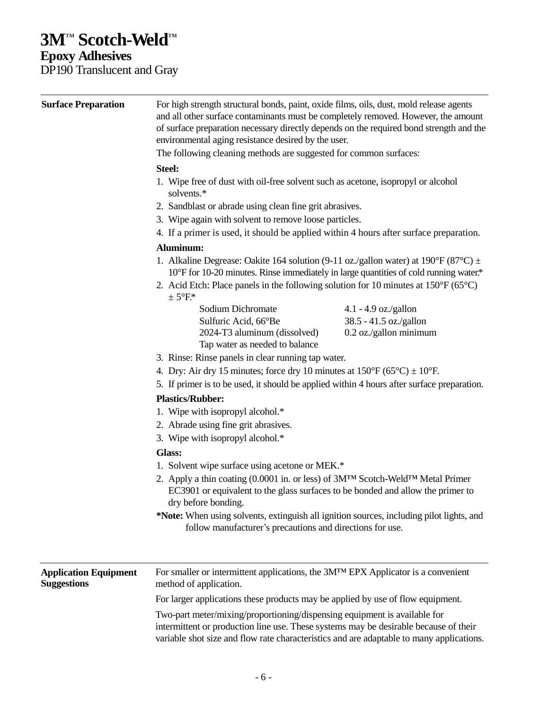# **3M**™ **Scotch-Weld** ™

### **Epoxy Adhesives**

DP190 Translucent and Gray

| <b>Surface Preparation</b>                                                                                                                                                              | For high strength structural bonds, paint, oxide films, oils, dust, mold release agents<br>and all other surface contaminants must be completely removed. However, the amount<br>of surface preparation necessary directly depends on the required bond strength and the<br>environmental aging resistance desired by the user. |                                                                                                                                                                                                                                                               |                                                  |                                                                                                                                                 |  |
|-----------------------------------------------------------------------------------------------------------------------------------------------------------------------------------------|---------------------------------------------------------------------------------------------------------------------------------------------------------------------------------------------------------------------------------------------------------------------------------------------------------------------------------|---------------------------------------------------------------------------------------------------------------------------------------------------------------------------------------------------------------------------------------------------------------|--------------------------------------------------|-------------------------------------------------------------------------------------------------------------------------------------------------|--|
|                                                                                                                                                                                         | The following cleaning methods are suggested for common surfaces:                                                                                                                                                                                                                                                               |                                                                                                                                                                                                                                                               |                                                  |                                                                                                                                                 |  |
|                                                                                                                                                                                         | <b>Steel:</b><br>1. Wipe free of dust with oil-free solvent such as acetone, isopropyl or alcohol<br>solvents.*<br>2. Sandblast or abrade using clean fine grit abrasives.                                                                                                                                                      |                                                                                                                                                                                                                                                               |                                                  |                                                                                                                                                 |  |
|                                                                                                                                                                                         |                                                                                                                                                                                                                                                                                                                                 |                                                                                                                                                                                                                                                               |                                                  | 3. Wipe again with solvent to remove loose particles.<br>4. If a primer is used, it should be applied within 4 hours after surface preparation. |  |
|                                                                                                                                                                                         |                                                                                                                                                                                                                                                                                                                                 |                                                                                                                                                                                                                                                               |                                                  |                                                                                                                                                 |  |
|                                                                                                                                                                                         | $± 5^{\circ}F$ .*<br>Sodium Dichromate                                                                                                                                                                                                                                                                                          |                                                                                                                                                                                                                                                               |                                                  |                                                                                                                                                 |  |
|                                                                                                                                                                                         |                                                                                                                                                                                                                                                                                                                                 | Sulfuric Acid, 66°Be                                                                                                                                                                                                                                          | $4.1 - 4.9$ oz./gallon<br>38.5 - 41.5 oz./gallon |                                                                                                                                                 |  |
|                                                                                                                                                                                         |                                                                                                                                                                                                                                                                                                                                 | 2024-T3 aluminum (dissolved)<br>Tap water as needed to balance                                                                                                                                                                                                | 0.2 oz./gallon minimum                           |                                                                                                                                                 |  |
|                                                                                                                                                                                         |                                                                                                                                                                                                                                                                                                                                 | 3. Rinse: Rinse panels in clear running tap water.                                                                                                                                                                                                            |                                                  |                                                                                                                                                 |  |
|                                                                                                                                                                                         |                                                                                                                                                                                                                                                                                                                                 | 4. Dry: Air dry 15 minutes; force dry 10 minutes at $150^{\circ}F (65^{\circ}C) \pm 10^{\circ}F$ .                                                                                                                                                            |                                                  |                                                                                                                                                 |  |
| 5. If primer is to be used, it should be applied within 4 hours after surface preparation.<br><b>Plastics/Rubber:</b>                                                                   |                                                                                                                                                                                                                                                                                                                                 |                                                                                                                                                                                                                                                               |                                                  |                                                                                                                                                 |  |
|                                                                                                                                                                                         |                                                                                                                                                                                                                                                                                                                                 | 1. Wipe with isopropyl alcohol.*                                                                                                                                                                                                                              |                                                  |                                                                                                                                                 |  |
| 2. Abrade using fine grit abrasives.<br>3. Wipe with isopropyl alcohol.*                                                                                                                |                                                                                                                                                                                                                                                                                                                                 |                                                                                                                                                                                                                                                               |                                                  |                                                                                                                                                 |  |
|                                                                                                                                                                                         |                                                                                                                                                                                                                                                                                                                                 | <b>Glass:</b><br>1. Solvent wipe surface using acetone or MEK.*                                                                                                                                                                                               |                                                  |                                                                                                                                                 |  |
| 2. Apply a thin coating (0.0001 in. or less) of 3M™ Scotch-Weld™ Metal Primer<br>EC3901 or equivalent to the glass surfaces to be bonded and allow the primer to<br>dry before bonding. |                                                                                                                                                                                                                                                                                                                                 |                                                                                                                                                                                                                                                               |                                                  |                                                                                                                                                 |  |
| *Note: When using solvents, extinguish all ignition sources, including pilot lights, and<br>follow manufacturer's precautions and directions for use.                                   |                                                                                                                                                                                                                                                                                                                                 |                                                                                                                                                                                                                                                               |                                                  |                                                                                                                                                 |  |
| <b>Application Equipment</b><br><b>Suggestions</b>                                                                                                                                      |                                                                                                                                                                                                                                                                                                                                 | For smaller or intermittent applications, the $3M^{TM} EPX$ Applicator is a convenient<br>method of application.                                                                                                                                              |                                                  |                                                                                                                                                 |  |
|                                                                                                                                                                                         |                                                                                                                                                                                                                                                                                                                                 | For larger applications these products may be applied by use of flow equipment.                                                                                                                                                                               |                                                  |                                                                                                                                                 |  |
|                                                                                                                                                                                         |                                                                                                                                                                                                                                                                                                                                 | Two-part meter/mixing/proportioning/dispensing equipment is available for<br>intermittent or production line use. These systems may be desirable because of their<br>variable shot size and flow rate characteristics and are adaptable to many applications. |                                                  |                                                                                                                                                 |  |